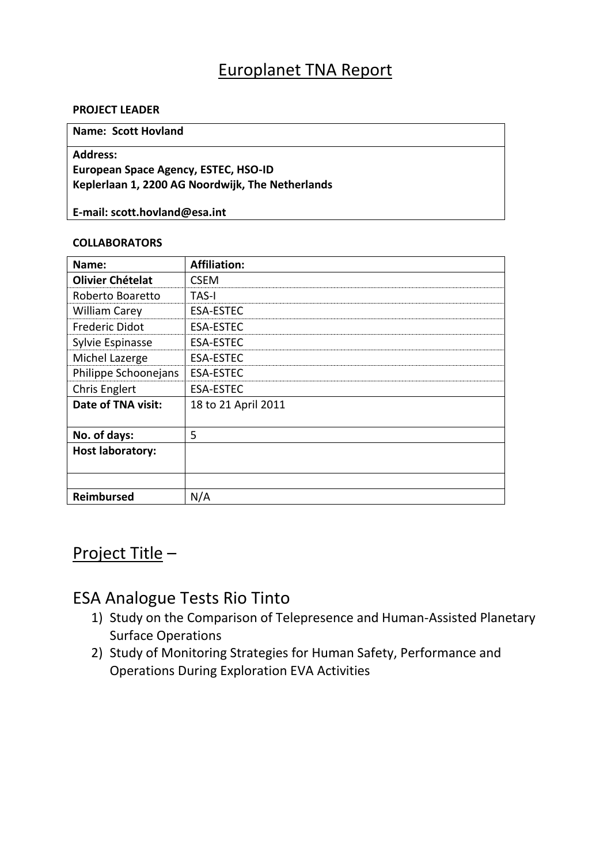# Europlanet TNA Report

### **PROJECT LEADER**

#### **Name: Scott Hovland**

## **Address:**

## **European Space Agency, ESTEC, HSO-ID Keplerlaan 1, 2200 AG Noordwijk, The Netherlands**

**E-mail: scott.hovland@esa.int**

## **COLLABORATORS**

| Name:                   | <b>Affiliation:</b> |
|-------------------------|---------------------|
| <b>Olivier Chételat</b> | <b>CSFM</b>         |
| Roberto Boaretto        | <b>TAS-I</b>        |
| <b>William Carey</b>    | <b>ESA-ESTEC</b>    |
| <b>Frederic Didot</b>   | <b>ESA-ESTEC</b>    |
| Sylvie Espinasse        | <b>ESA-ESTEC</b>    |
| Michel Lazerge          | <b>ESA-ESTEC</b>    |
| Philippe Schoonejans    | <b>ESA-ESTEC</b>    |
| <b>Chris Englert</b>    | <b>ESA-ESTEC</b>    |
| Date of TNA visit:      | 18 to 21 April 2011 |
|                         |                     |
| No. of days:            | 5                   |
| <b>Host laboratory:</b> |                     |
|                         |                     |
|                         |                     |
| <b>Reimbursed</b>       | N/A                 |

# Project Title –

## ESA Analogue Tests Rio Tinto

- 1) Study on the Comparison of Telepresence and Human-Assisted Planetary Surface Operations
- 2) Study of Monitoring Strategies for Human Safety, Performance and Operations During Exploration EVA Activities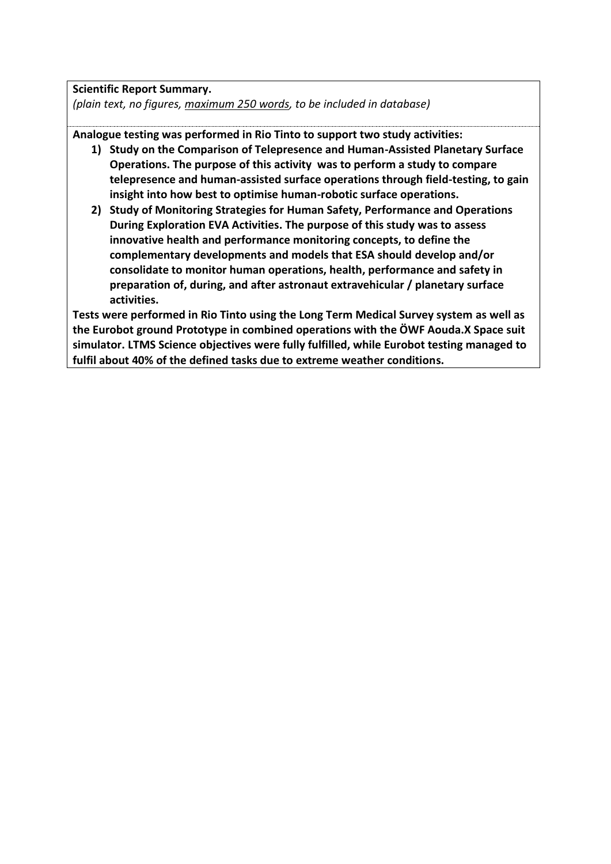**Scientific Report Summary.** *(plain text, no figures, maximum 250 words, to be included in database)*

**Analogue testing was performed in Rio Tinto to support two study activities:**

- **1) Study on the Comparison of Telepresence and Human-Assisted Planetary Surface Operations. The purpose of this activity was to perform a study to compare telepresence and human-assisted surface operations through field-testing, to gain insight into how best to optimise human-robotic surface operations.**
- **2) Study of Monitoring Strategies for Human Safety, Performance and Operations During Exploration EVA Activities. The purpose of this study was to assess innovative health and performance monitoring concepts, to define the complementary developments and models that ESA should develop and/or consolidate to monitor human operations, health, performance and safety in preparation of, during, and after astronaut extravehicular / planetary surface activities.**

**Tests were performed in Rio Tinto using the Long Term Medical Survey system as well as the Eurobot ground Prototype in combined operations with the ÖWF Aouda.X Space suit simulator. LTMS Science objectives were fully fulfilled, while Eurobot testing managed to fulfil about 40% of the defined tasks due to extreme weather conditions.**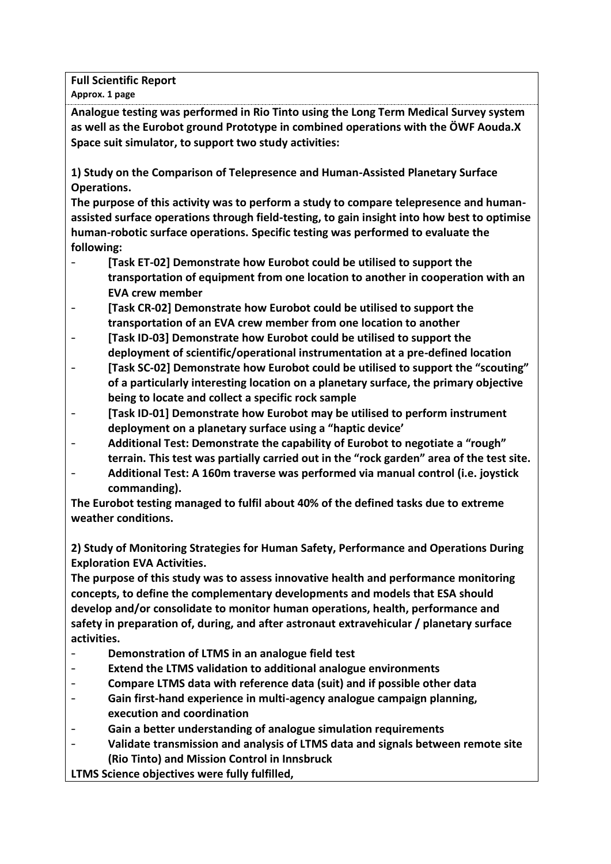**Full Scientific Report** 

**Approx. 1 page**

**Analogue testing was performed in Rio Tinto using the Long Term Medical Survey system as well as the Eurobot ground Prototype in combined operations with the ÖWF Aouda.X Space suit simulator, to support two study activities:**

**1) Study on the Comparison of Telepresence and Human-Assisted Planetary Surface Operations.** 

**The purpose of this activity was to perform a study to compare telepresence and humanassisted surface operations through field-testing, to gain insight into how best to optimise human-robotic surface operations. Specific testing was performed to evaluate the following:**

- **[Task ET-02] Demonstrate how Eurobot could be utilised to support the transportation of equipment from one location to another in cooperation with an EVA crew member**
- **[Task CR-02] Demonstrate how Eurobot could be utilised to support the transportation of an EVA crew member from one location to another**
- **[Task ID-03] Demonstrate how Eurobot could be utilised to support the deployment of scientific/operational instrumentation at a pre-defined location**
- **[Task SC-02] Demonstrate how Eurobot could be utilised to support the "scouting" of a particularly interesting location on a planetary surface, the primary objective being to locate and collect a specific rock sample**
- **[Task ID-01] Demonstrate how Eurobot may be utilised to perform instrument deployment on a planetary surface using a "haptic device'**
- **Additional Test: Demonstrate the capability of Eurobot to negotiate a "rough" terrain. This test was partially carried out in the "rock garden" area of the test site.**
- **Additional Test: A 160m traverse was performed via manual control (i.e. joystick commanding).**

**The Eurobot testing managed to fulfil about 40% of the defined tasks due to extreme weather conditions.**

**2) Study of Monitoring Strategies for Human Safety, Performance and Operations During Exploration EVA Activities.** 

**The purpose of this study was to assess innovative health and performance monitoring concepts, to define the complementary developments and models that ESA should develop and/or consolidate to monitor human operations, health, performance and safety in preparation of, during, and after astronaut extravehicular / planetary surface activities.**

- **Demonstration of LTMS in an analogue field test**
- **Extend the LTMS validation to additional analogue environments**
- **Compare LTMS data with reference data (suit) and if possible other data**
- **Gain first-hand experience in multi-agency analogue campaign planning, execution and coordination**
- **Gain a better understanding of analogue simulation requirements**
- **Validate transmission and analysis of LTMS data and signals between remote site (Rio Tinto) and Mission Control in Innsbruck**

**LTMS Science objectives were fully fulfilled,**